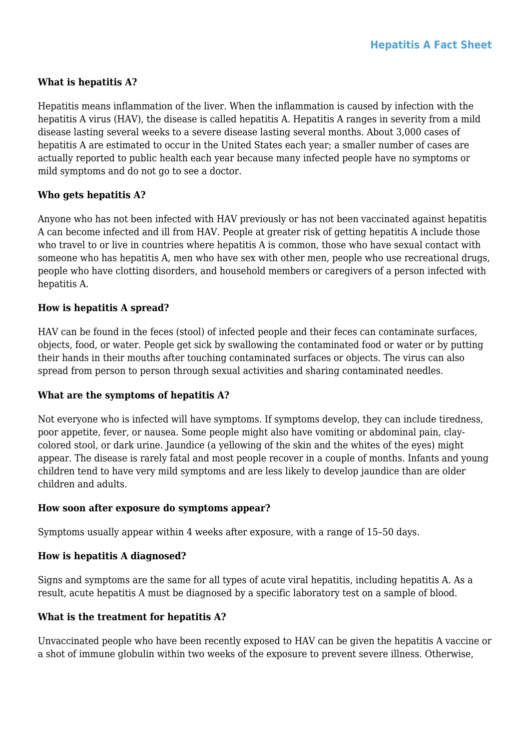# **What is hepatitis A?**

Hepatitis means inflammation of the liver. When the inflammation is caused by infection with the hepatitis A virus (HAV), the disease is called hepatitis A. Hepatitis A ranges in severity from a mild disease lasting several weeks to a severe disease lasting several months. About 3,000 cases of hepatitis A are estimated to occur in the United States each year; a smaller number of cases are actually reported to public health each year because many infected people have no symptoms or mild symptoms and do not go to see a doctor.

# **Who gets hepatitis A?**

Anyone who has not been infected with HAV previously or has not been vaccinated against hepatitis A can become infected and ill from HAV. People at greater risk of getting hepatitis A include those who travel to or live in countries where hepatitis A is common, those who have sexual contact with someone who has hepatitis A, men who have sex with other men, people who use recreational drugs, people who have clotting disorders, and household members or caregivers of a person infected with hepatitis A.

# **How is hepatitis A spread?**

HAV can be found in the feces (stool) of infected people and their feces can contaminate surfaces, objects, food, or water. People get sick by swallowing the contaminated food or water or by putting their hands in their mouths after touching contaminated surfaces or objects. The virus can also spread from person to person through sexual activities and sharing contaminated needles.

# **What are the symptoms of hepatitis A?**

Not everyone who is infected will have symptoms. If symptoms develop, they can include tiredness, poor appetite, fever, or nausea. Some people might also have vomiting or abdominal pain, claycolored stool, or dark urine. Jaundice (a yellowing of the skin and the whites of the eyes) might appear. The disease is rarely fatal and most people recover in a couple of months. Infants and young children tend to have very mild symptoms and are less likely to develop jaundice than are older children and adults.

#### **How soon after exposure do symptoms appear?**

Symptoms usually appear within 4 weeks after exposure, with a range of 15–50 days.

# **How is hepatitis A diagnosed?**

Signs and symptoms are the same for all types of acute viral hepatitis, including hepatitis A. As a result, acute hepatitis A must be diagnosed by a specific laboratory test on a sample of blood.

# **What is the treatment for hepatitis A?**

Unvaccinated people who have been recently exposed to HAV can be given the hepatitis A vaccine or a shot of immune globulin within two weeks of the exposure to prevent severe illness. Otherwise,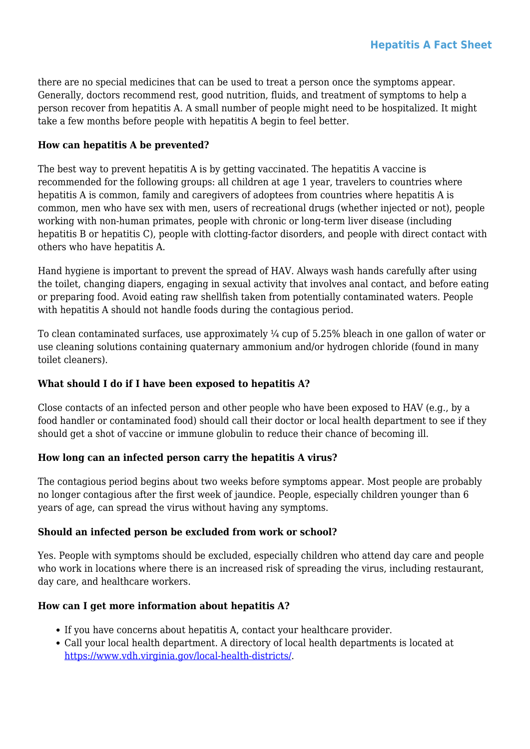there are no special medicines that can be used to treat a person once the symptoms appear. Generally, doctors recommend rest, good nutrition, fluids, and treatment of symptoms to help a person recover from hepatitis A. A small number of people might need to be hospitalized. It might take a few months before people with hepatitis A begin to feel better.

# **How can hepatitis A be prevented?**

The best way to prevent hepatitis A is by getting vaccinated. The hepatitis A vaccine is recommended for the following groups: all children at age 1 year, travelers to countries where hepatitis A is common, family and caregivers of adoptees from countries where hepatitis A is common, men who have sex with men, users of recreational drugs (whether injected or not), people working with non-human primates, people with chronic or long-term liver disease (including hepatitis B or hepatitis C), people with clotting-factor disorders, and people with direct contact with others who have hepatitis A.

Hand hygiene is important to prevent the spread of HAV. Always wash hands carefully after using the toilet, changing diapers, engaging in sexual activity that involves anal contact, and before eating or preparing food. Avoid eating raw shellfish taken from potentially contaminated waters. People with hepatitis A should not handle foods during the contagious period.

To clean contaminated surfaces, use approximately ¼ cup of 5.25% bleach in one gallon of water or use cleaning solutions containing quaternary ammonium and/or hydrogen chloride (found in many toilet cleaners).

# **What should I do if I have been exposed to hepatitis A?**

Close contacts of an infected person and other people who have been exposed to HAV (e.g., by a food handler or contaminated food) should call their doctor or local health department to see if they should get a shot of vaccine or immune globulin to reduce their chance of becoming ill.

# **How long can an infected person carry the hepatitis A virus?**

The contagious period begins about two weeks before symptoms appear. Most people are probably no longer contagious after the first week of jaundice. People, especially children younger than 6 years of age, can spread the virus without having any symptoms.

# **Should an infected person be excluded from work or school?**

Yes. People with symptoms should be excluded, especially children who attend day care and people who work in locations where there is an increased risk of spreading the virus, including restaurant, day care, and healthcare workers.

# **How can I get more information about hepatitis A?**

- If you have concerns about hepatitis A, contact your healthcare provider.
- Call your local health department. A directory of local health departments is located at <https://www.vdh.virginia.gov/local-health-districts/>.